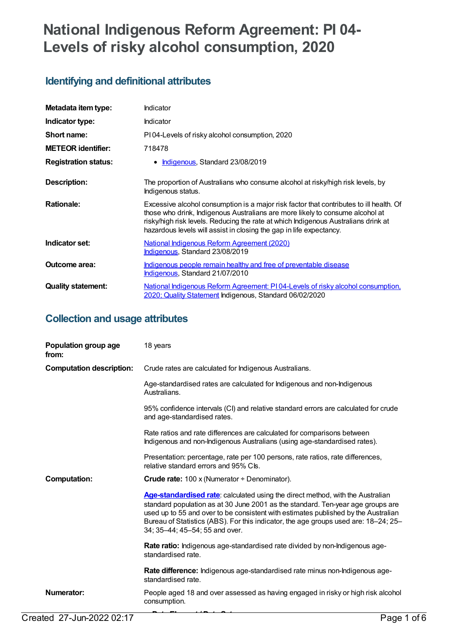# **National Indigenous Reform Agreement: PI 04- Levels of risky alcohol consumption, 2020**

## **Identifying and definitional attributes**

| Metadata item type:         | Indicator                                                                                                                                                                                                                                                                                                                             |
|-----------------------------|---------------------------------------------------------------------------------------------------------------------------------------------------------------------------------------------------------------------------------------------------------------------------------------------------------------------------------------|
| Indicator type:             | <b>Indicator</b>                                                                                                                                                                                                                                                                                                                      |
| Short name:                 | PI04-Levels of risky alcohol consumption, 2020                                                                                                                                                                                                                                                                                        |
| <b>METEOR</b> identifier:   | 718478                                                                                                                                                                                                                                                                                                                                |
| <b>Registration status:</b> | • Indigenous, Standard 23/08/2019                                                                                                                                                                                                                                                                                                     |
| <b>Description:</b>         | The proportion of Australians who consume alcohol at risky/high risk levels, by<br>Indigenous status.                                                                                                                                                                                                                                 |
| <b>Rationale:</b>           | Excessive alcohol consumption is a major risk factor that contributes to ill health. Of<br>those who drink, Indigenous Australians are more likely to consume alcohol at<br>risky/high risk levels. Reducing the rate at which Indigenous Australians drink at<br>hazardous levels will assist in closing the gap in life expectancy. |
| Indicator set:              | National Indigenous Reform Agreement (2020)<br>Indigenous, Standard 23/08/2019                                                                                                                                                                                                                                                        |
| Outcome area:               | Indigenous people remain healthy and free of preventable disease<br>Indigenous, Standard 21/07/2010                                                                                                                                                                                                                                   |
| <b>Quality statement:</b>   | National Indigenous Reform Agreement: PI04-Levels of risky alcohol consumption,<br>2020; Quality Statement Indigenous, Standard 06/02/2020                                                                                                                                                                                            |

## **Collection and usage attributes**

| Population group age<br>from:   | 18 years                                                                                                                                                                                                                                                                                                                                                                         |
|---------------------------------|----------------------------------------------------------------------------------------------------------------------------------------------------------------------------------------------------------------------------------------------------------------------------------------------------------------------------------------------------------------------------------|
| <b>Computation description:</b> | Crude rates are calculated for Indigenous Australians.                                                                                                                                                                                                                                                                                                                           |
|                                 | Age-standardised rates are calculated for Indigenous and non-Indigenous<br>Australians.                                                                                                                                                                                                                                                                                          |
|                                 | 95% confidence intervals (CI) and relative standard errors are calculated for crude<br>and age-standardised rates.                                                                                                                                                                                                                                                               |
|                                 | Rate ratios and rate differences are calculated for comparisons between<br>Indigenous and non-Indigenous Australians (using age-standardised rates).                                                                                                                                                                                                                             |
|                                 | Presentation: percentage, rate per 100 persons, rate ratios, rate differences,<br>relative standard errors and 95% Cls.                                                                                                                                                                                                                                                          |
|                                 |                                                                                                                                                                                                                                                                                                                                                                                  |
| <b>Computation:</b>             | <b>Crude rate:</b> $100 \times (N$ umerator ÷ Denominator).                                                                                                                                                                                                                                                                                                                      |
|                                 | Age-standardised rate: calculated using the direct method, with the Australian<br>standard population as at 30 June 2001 as the standard. Ten-year age groups are<br>used up to 55 and over to be consistent with estimates published by the Australian<br>Bureau of Statistics (ABS). For this indicator, the age groups used are: 18–24; 25–<br>34; 35–44; 45–54; 55 and over. |
|                                 | Rate ratio: Indigenous age-standardised rate divided by non-Indigenous age-<br>standardised rate.                                                                                                                                                                                                                                                                                |
|                                 | Rate difference: Indigenous age-standardised rate minus non-Indigenous age-<br>standardised rate.                                                                                                                                                                                                                                                                                |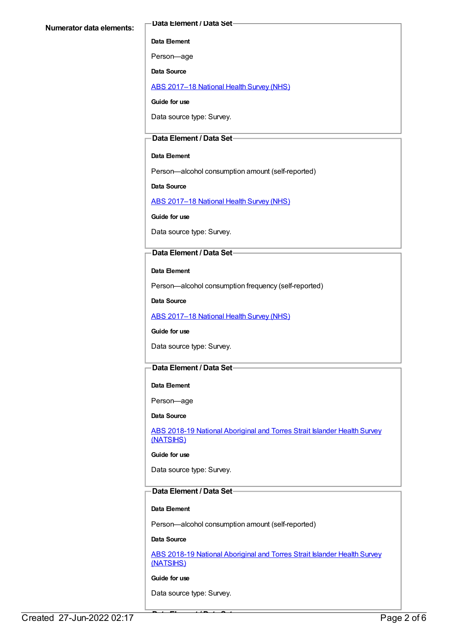#### **Data Element / Data Set**

#### **Data Element**

Person—age

**Data Source**

ABS [2017–18](https://meteor.aihw.gov.au/content/716316) National Health Survey (NHS)

**Guide for use**

Data source type: Survey.

#### **Data Element / Data Set**

#### **Data Element**

Person—alcohol consumption amount (self-reported)

**Data Source**

ABS [2017–18](https://meteor.aihw.gov.au/content/716316) National Health Survey (NHS)

**Guide for use**

Data source type: Survey.

### **Data Element / Data Set**

#### **Data Element**

Person—alcohol consumption frequency (self-reported)

**Data Source**

ABS [2017–18](https://meteor.aihw.gov.au/content/716316) National Health Survey (NHS)

#### **Guide for use**

Data source type: Survey.

#### **Data Element / Data Set**

#### **Data Element**

Person—age

#### **Data Source**

ABS 2018-19 National [Aboriginal](https://meteor.aihw.gov.au/content/719848) and Torres Strait Islander Health Survey (NATSIHS)

#### **Guide for use**

Data source type: Survey.

## **Data Element / Data Set**

#### **Data Element**

Person—alcohol consumption amount (self-reported)

#### **Data Source**

ABS 2018-19 National [Aboriginal](https://meteor.aihw.gov.au/content/719848) and Torres Strait Islander Health Survey (NATSIHS)

#### **Guide for use**

Data source type: Survey.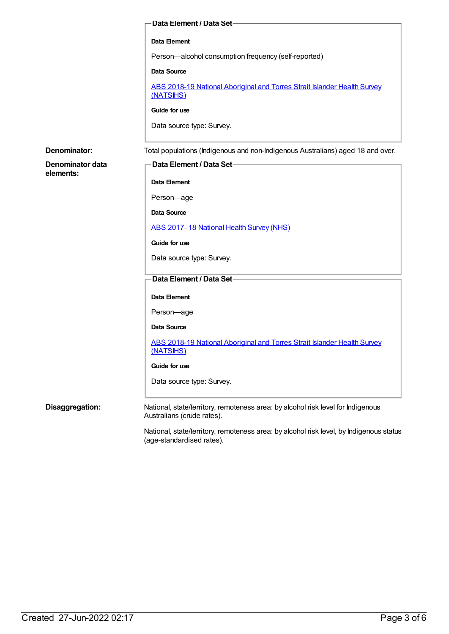|                               | Data Element / Data Set-                                                                                       |
|-------------------------------|----------------------------------------------------------------------------------------------------------------|
|                               | Data Element                                                                                                   |
|                               | Person-alcohol consumption frequency (self-reported)                                                           |
|                               | Data Source                                                                                                    |
|                               | ABS 2018-19 National Aboriginal and Torres Strait Islander Health Survey<br>(NATSIHS)                          |
|                               | Guide for use                                                                                                  |
|                               | Data source type: Survey.                                                                                      |
| Denominator:                  | Total populations (Indigenous and non-Indigenous Australians) aged 18 and over.                                |
| Denominator data<br>elements: | Data Element / Data Set-                                                                                       |
|                               | Data Element                                                                                                   |
|                               | Person-age                                                                                                     |
|                               | Data Source                                                                                                    |
|                               | ABS 2017-18 National Health Survey (NHS)                                                                       |
|                               | Guide for use                                                                                                  |
|                               | Data source type: Survey.                                                                                      |
|                               | Data Element / Data Set-                                                                                       |
|                               | Data Element                                                                                                   |
|                               | Person-age                                                                                                     |
|                               | Data Source                                                                                                    |
|                               | ABS 2018-19 National Aboriginal and Torres Strait Islander Health Survey<br>(NATSIHS)                          |
|                               | Guide for use                                                                                                  |
|                               | Data source type: Survey.                                                                                      |
| Disaggregation:               | National, state/territory, remoteness area: by alcohol risk level for Indigenous<br>Australians (crude rates). |

National, state/territory, remoteness area: by alcohol risk level, by Indigenous status (age-standardised rates).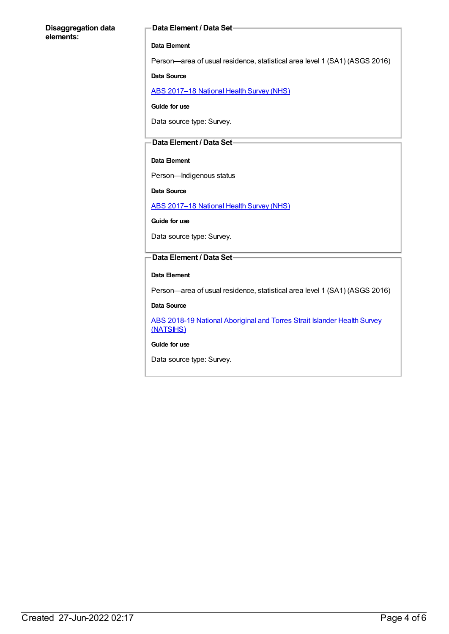#### **Disaggregation data elements:**

#### **Data Element / Data Set**

#### **Data Element**

Person—area of usual residence, statistical area level 1 (SA1) (ASGS 2016)

#### **Data Source**

ABS [2017–18](https://meteor.aihw.gov.au/content/716316) National Health Survey (NHS)

**Guide for use**

Data source type: Survey.

#### **Data Element / Data Set**

#### **Data Element**

Person—Indigenous status

**Data Source**

ABS [2017–18](https://meteor.aihw.gov.au/content/716316) National Health Survey (NHS)

**Guide for use**

Data source type: Survey.

#### **Data Element / Data Set**

#### **Data Element**

Person—area of usual residence, statistical area level 1 (SA1) (ASGS 2016)

#### **Data Source**

ABS 2018-19 National [Aboriginal](https://meteor.aihw.gov.au/content/719848) and Torres Strait Islander Health Survey (NATSIHS)

#### **Guide for use**

Data source type: Survey.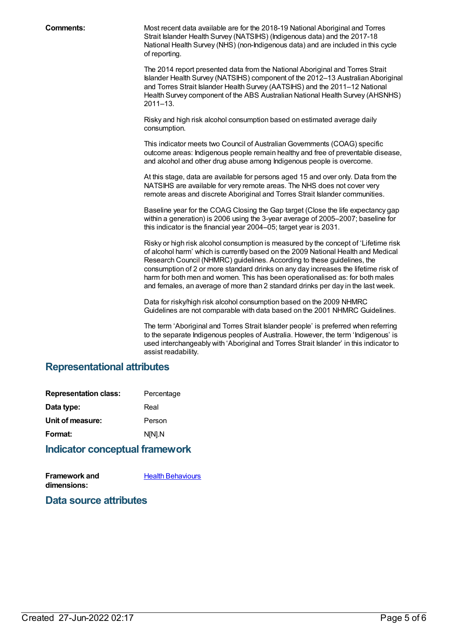**Comments:** Most recent data available are for the 2018-19 National Aboriginal and Torres Strait Islander Health Survey (NATSIHS) (Indigenous data) and the 2017-18 National Health Survey (NHS) (non-Indigenous data) and are included in this cycle of reporting.

> The 2014 report presented data from the National Aboriginal and Torres Strait Islander Health Survey (NATSIHS) component of the 2012–13 Australian Aboriginal and Torres Strait Islander Health Survey (AATSIHS) and the 2011–12 National Health Survey component of the ABS Australian National Health Survey (AHSNHS) 2011–13.

Risky and high risk alcohol consumption based on estimated average daily consumption.

This indicator meets two Council of Australian Governments (COAG) specific outcome areas: Indigenous people remain healthy and free of preventable disease, and alcohol and other drug abuse among Indigenous people is overcome.

At this stage, data are available for persons aged 15 and over only. Data from the NATSIHS are available for very remote areas. The NHS does not cover very remote areas and discrete Aboriginal and Torres Strait Islander communities.

Baseline year for the COAG Closing the Gap target (Close the life expectancy gap within a generation) is 2006 using the 3-year average of 2005–2007; baseline for this indicator is the financial year 2004–05; target year is 2031.

Risky or high risk alcohol consumption is measured by the concept of 'Lifetime risk of alcohol harm' which is currently based on the 2009 National Health and Medical Research Council (NHMRC) guidelines. According to these guidelines, the consumption of 2 or more standard drinks on any day increases the lifetime risk of harm for both men and women. This has been operationalised as: for both males and females, an average of more than 2 standard drinks per day in the last week.

Data for risky/high risk alcohol consumption based on the 2009 NHMRC Guidelines are not comparable with data based on the 2001 NHMRC Guidelines.

The term 'Aboriginal and Torres Strait Islander people' is preferred when referring to the separate Indigenous peoples of Australia. However, the term 'Indigenous' is used interchangeably with 'Aboriginal and Torres Strait Islander' in this indicator to assist readability.

## **Representational attributes**

| <b>Representation class:</b> | Percentage |
|------------------------------|------------|
| Data type:                   | Real       |
| Unit of measure:             | Person     |
| Format:                      | N[N].N     |
|                              |            |

### **Indicator conceptual framework**

**Framework and dimensions:**

Health [Behaviours](https://meteor.aihw.gov.au/content/410676)

**Data source attributes**